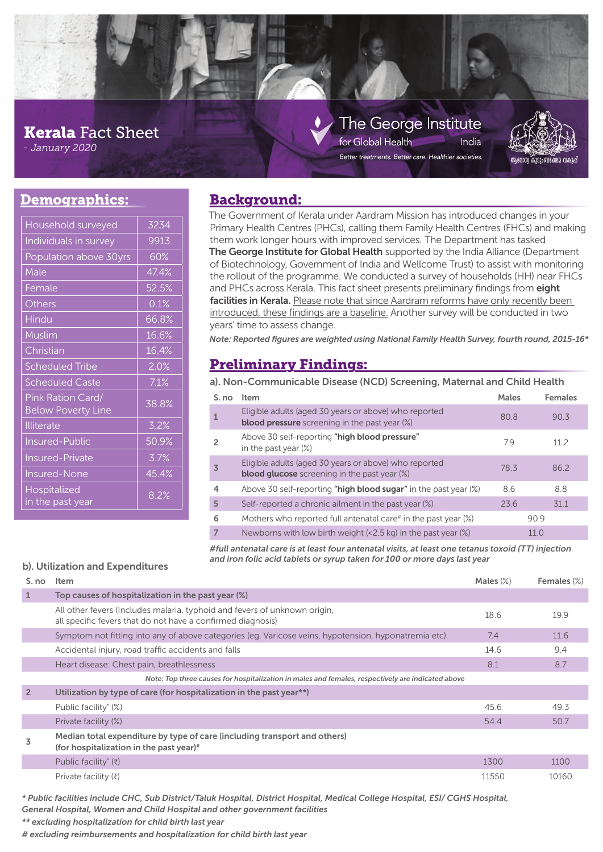# **Kerala** Fact Sheet

- *January 2020*

### The George Institute for Global Health India

Better treatments. Better care. Healthier societies.



# **Demographics:**

| Household surveyed                             | 3234  |  |
|------------------------------------------------|-------|--|
| Individuals in survey                          | 9913  |  |
| Population above 30yrs                         | 60%   |  |
| Male                                           | 47.4% |  |
| Female                                         | 52.5% |  |
| Others                                         | 0.1%  |  |
| Hindu                                          | 66.8% |  |
| Muslim                                         | 16.6% |  |
| Christian                                      | 16.4% |  |
| <b>Scheduled Tribe</b>                         | 2.0%  |  |
| <b>Scheduled Caste</b>                         | 7.1%  |  |
| Pink Ration Card/<br><b>Below Poverty Line</b> | 38.8% |  |
| <b>Illiterate</b>                              | 3.2%  |  |
| <b>Insured-Public</b>                          | 50.9% |  |
| <b>Insured-Private</b>                         | 3.7%  |  |
| <b>Insured-None</b>                            | 45.4% |  |
| Hospitalized<br>in the past year               | 8.2%  |  |

## **Background:**

The Government of Kerala under Aardram Mission has introduced changes in your Primary Health Centres (PHCs), calling them Family Health Centres (FHCs) and making them work longer hours with improved services. The Department has tasked **The George Institute for Global Health** supported by the India Alliance (Department of Biotechnology, Government of India and Wellcome Trust) to assist with monitoring the rollout of the programme. We conducted a survey of households (HH) near FHCs and PHCs across Kerala. This fact sheet presents preliminary findings from eight facilities in Kerala. Please note that since Aardram reforms have only recently been introduced, these findings are a baseline. Another survey will be conducted in two years' time to assess change.

*Note: Reported fi gures are weighted using National Family Health Survey, fourth round, 2015-16\**

# **Preliminary Findings:**

**a). Non-Communicable Disease (NCD) Screening, Maternal and Child Health** 

| S. no          | Item                                                                                                          | Males | <b>Females</b> |
|----------------|---------------------------------------------------------------------------------------------------------------|-------|----------------|
| $\mathbf{1}$   | Eligible adults (aged 30 years or above) who reported<br><b>blood pressure</b> screening in the past year (%) | 80.8  | 90.3           |
| 2              | Above 30 self-reporting "high blood pressure"<br>in the past year $(\%)$                                      | 79    | 112            |
| $\overline{3}$ | Eligible adults (aged 30 years or above) who reported<br><b>blood glucose</b> screening in the past year (%)  | 78.3  | 86.2           |
| 4              | Above 30 self-reporting "high blood sugar" in the past year (%)                                               | 8.6   | 8.8            |
| 5              | Self-reported a chronic ailment in the past year (%)                                                          | 23.6  | 31.1           |
| 6              | Mothers who reported full antenatal care <sup>#</sup> in the past year $(\%)$                                 |       | 90.9           |
| $\overline{7}$ | Newborns with low birth weight $\left($ < 2.5 kg) in the past year $\left(\% \right)$                         |       | 11.0           |

*#full antenatal care is at least four antenatal visits, at least one tetanus toxoid (TT) injection and iron folic acid tablets or syrup taken for 100 or more days last year* **b). Utilization and Expenditures** 

| S. no          | Item                                                                                                                                     | Males $(\%)$ | Females (%) |
|----------------|------------------------------------------------------------------------------------------------------------------------------------------|--------------|-------------|
|                | Top causes of hospitalization in the past year (%)                                                                                       |              |             |
|                | All other fevers (Includes malaria, typhoid and fevers of unknown origin,<br>all specific fevers that do not have a confirmed diagnosis) | 18.6         | 19.9        |
|                | Symptom not fitting into any of above categories (eg. Varicose veins, hypotension, hyponatremia etc).                                    | 7.4          | 11.6        |
|                | Accidental injury, road traffic accidents and falls                                                                                      | 14.6         | 9.4         |
|                | Heart disease: Chest pain, breathlessness                                                                                                | 8.1          | 8.7         |
|                | Note: Top three causes for hospitalization in males and females, respectively are indicated above                                        |              |             |
| $\overline{2}$ | Utilization by type of care (for hospitalization in the past year**)                                                                     |              |             |
|                | Public facility* (%)                                                                                                                     | 45.6         | 49.3        |
|                | Private facility (%)                                                                                                                     | 54.4         | 50.7        |
|                | Median total expenditure by type of care (including transport and others)<br>(for hospitalization in the past year)#                     |              |             |
|                | Public facility <sup>*</sup> $(\bar{z})$                                                                                                 | 1300         | 1100        |
|                | Private facility $(\bar{z})$                                                                                                             | 11550        | 10160       |

*\* Public facilities include CHC, Sub District/Taluk Hospital, District Hospital, Medical College Hospital, ESI/ CGHS Hospital, General Hospital, Women and Child Hospital and other government facilities*

*\*\* excluding hospitalization for child birth last year*

*# excluding reimbursements and hospitalization for child birth last year*